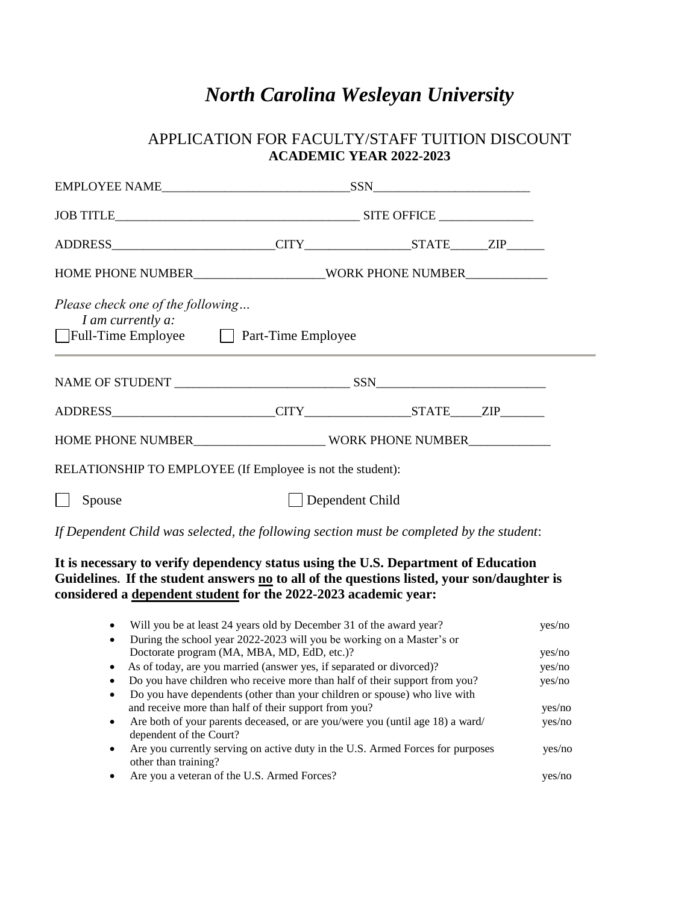# *North Carolina Wesleyan University*

# APPLICATION FOR FACULTY/STAFF TUITION DISCOUNT **ACADEMIC YEAR 2022-2023**

| Please check one of the following<br>I am currently a:<br>□ Full-Time Employee □ Part-Time Employee |                                                            |  |  |
|-----------------------------------------------------------------------------------------------------|------------------------------------------------------------|--|--|
|                                                                                                     |                                                            |  |  |
|                                                                                                     |                                                            |  |  |
|                                                                                                     |                                                            |  |  |
|                                                                                                     | RELATIONSHIP TO EMPLOYEE (If Employee is not the student): |  |  |
| Spouse                                                                                              | Dependent Child                                            |  |  |

*If Dependent Child was selected, the following section must be completed by the student*:

### **It is necessary to verify dependency status using the U.S. Department of Education Guidelines. If the student answers no to all of the questions listed, your son/daughter is considered a dependent student for the 2022-2023 academic year:**

| Will you be at least 24 years old by December 31 of the award year?<br>$\bullet$                                      | yes/no |
|-----------------------------------------------------------------------------------------------------------------------|--------|
| During the school year 2022-2023 will you be working on a Master's or<br>$\bullet$                                    |        |
| Doctorate program (MA, MBA, MD, EdD, etc.)?                                                                           | yes/no |
| As of today, are you married (answer yes, if separated or divorced)?<br>$\bullet$                                     | yes/no |
| Do you have children who receive more than half of their support from you?                                            | yes/no |
| Do you have dependents (other than your children or spouse) who live with<br>$\bullet$                                |        |
| and receive more than half of their support from you?                                                                 | yes/no |
| Are both of your parents deceased, or are you/were you (until age 18) a ward/<br>$\bullet$<br>dependent of the Court? | yes/no |
| Are you currently serving on active duty in the U.S. Armed Forces for purposes<br>$\bullet$<br>other than training?   | yes/no |
| Are you a veteran of the U.S. Armed Forces?                                                                           |        |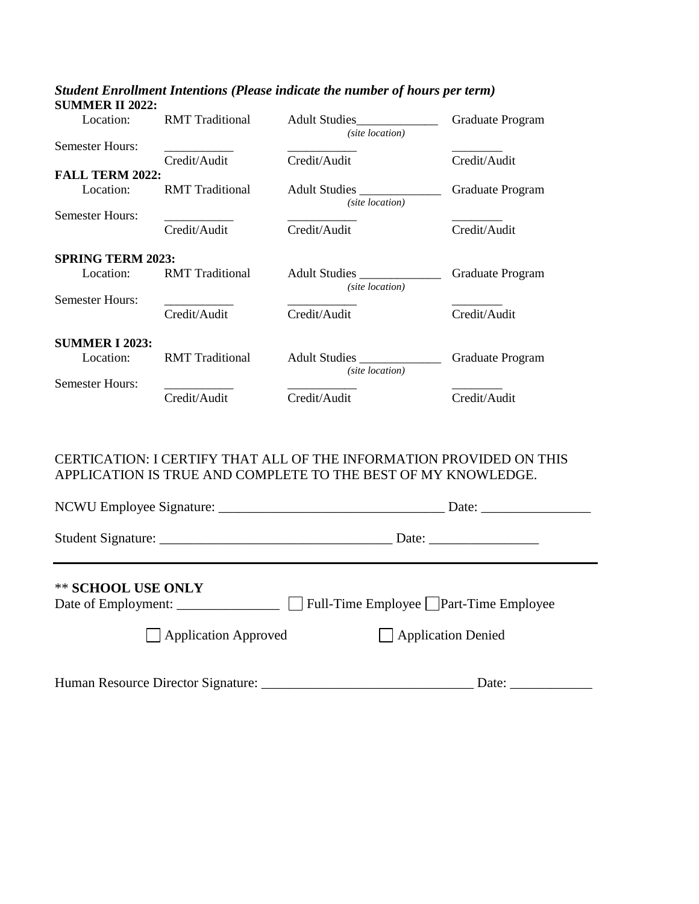| Location:                | <b>RMT</b> Traditional | <b>Adult Studies</b><br>(site location) | Graduate Program |
|--------------------------|------------------------|-----------------------------------------|------------------|
| <b>Semester Hours:</b>   |                        |                                         |                  |
|                          | Credit/Audit           | Credit/Audit                            | Credit/Audit     |
| <b>FALL TERM 2022:</b>   |                        |                                         |                  |
| Location:                | <b>RMT</b> Traditional | Adult Studies<br>(site location)        | Graduate Program |
| <b>Semester Hours:</b>   |                        |                                         |                  |
|                          | Credit/Audit           | Credit/Audit                            | Credit/Audit     |
| <b>SPRING TERM 2023:</b> |                        |                                         |                  |
| Location:                | <b>RMT</b> Traditional | Adult Studies<br>(site location)        | Graduate Program |
| <b>Semester Hours:</b>   |                        |                                         |                  |
|                          | Credit/Audit           | Credit/Audit                            | Credit/Audit     |
|                          |                        |                                         |                  |
| <b>SUMMER I 2023:</b>    |                        |                                         |                  |
| Location:                | <b>RMT</b> Traditional | Adult Studies<br>(site location)        | Graduate Program |
| <b>Semester Hours:</b>   |                        |                                         |                  |
|                          | Credit/Audit           | Credit/Audit                            | Credit/Audit     |
|                          |                        |                                         |                  |

#### *Student Enrollment Intentions (Please indicate the number of hours per term)* **SUMMER II 2022:**

#### CERTICATION: I CERTIFY THAT ALL OF THE INFORMATION PROVIDED ON THIS APPLICATION IS TRUE AND COMPLETE TO THE BEST OF MY KNOWLEDGE.

| ** SCHOOL USE ONLY<br>$\Box$ Application Approved | $\Box$ Application Denied |
|---------------------------------------------------|---------------------------|
|                                                   | Date:                     |